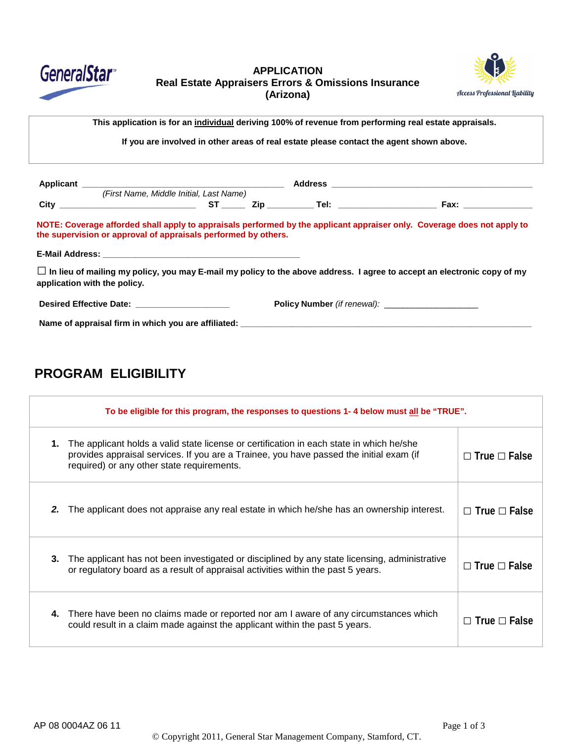

## **APPLICATION Real Estate Appraisers Errors & Omissions Insurance (Arizona)**



**This application is for an individual deriving 100% of revenue from performing real estate appraisals.**

**If you are involved in other areas of real estate please contact the agent shown above.**

|                                                                                  | (First Name, Middle Initial, Last Name) |  |                                                   |                                                                                                                                |
|----------------------------------------------------------------------------------|-----------------------------------------|--|---------------------------------------------------|--------------------------------------------------------------------------------------------------------------------------------|
|                                                                                  |                                         |  |                                                   |                                                                                                                                |
| the supervision or approval of appraisals performed by others.                   |                                         |  |                                                   | NOTE: Coverage afforded shall apply to appraisals performed by the applicant appraiser only. Coverage does not apply to        |
|                                                                                  |                                         |  |                                                   |                                                                                                                                |
| application with the policy.                                                     |                                         |  |                                                   | $\Box$ In lieu of mailing my policy, you may E-mail my policy to the above address. I agree to accept an electronic copy of my |
| Desired Effective Date: _____________________                                    |                                         |  | Policy Number (if renewal): _____________________ |                                                                                                                                |
| Name of appraisal firm in which you are affiliated: ____________________________ |                                         |  |                                                   |                                                                                                                                |

# **PROGRAM ELIGIBILITY**

| To be eligible for this program, the responses to questions 1-4 below must all be "TRUE". |                                                                                                                                                                                                                                   |                          |  |
|-------------------------------------------------------------------------------------------|-----------------------------------------------------------------------------------------------------------------------------------------------------------------------------------------------------------------------------------|--------------------------|--|
| 1.                                                                                        | The applicant holds a valid state license or certification in each state in which he/she<br>provides appraisal services. If you are a Trainee, you have passed the initial exam (if<br>required) or any other state requirements. | $\Box$ True $\Box$ False |  |
| 2.                                                                                        | The applicant does not appraise any real estate in which he/she has an ownership interest.                                                                                                                                        | $\Box$ True $\Box$ False |  |
| 3.                                                                                        | The applicant has not been investigated or disciplined by any state licensing, administrative<br>or regulatory board as a result of appraisal activities within the past 5 years.                                                 | $\Box$ True $\Box$ False |  |
| 4.                                                                                        | There have been no claims made or reported nor am I aware of any circumstances which<br>could result in a claim made against the applicant within the past 5 years.                                                               | $\Box$ True $\Box$ False |  |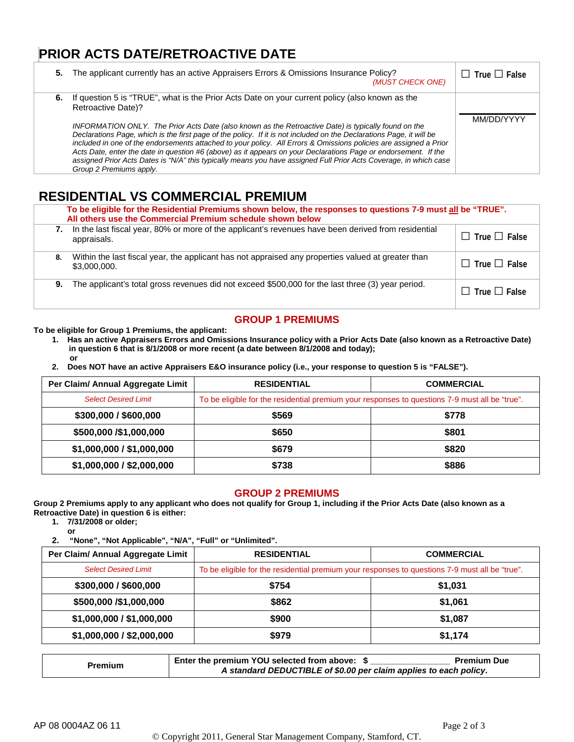# **PRIOR ACTS DATE/RETROACTIVE DATE**

| 5. | The applicant currently has an active Appraisers Errors & Omissions Insurance Policy?<br>(MUST CHECK ONE)                                                                                                                                                                                                                                                                                                                                                                                                                                                                                                                                                                                                                                    | $\Box$ True $\Box$ False |
|----|----------------------------------------------------------------------------------------------------------------------------------------------------------------------------------------------------------------------------------------------------------------------------------------------------------------------------------------------------------------------------------------------------------------------------------------------------------------------------------------------------------------------------------------------------------------------------------------------------------------------------------------------------------------------------------------------------------------------------------------------|--------------------------|
| 6. | If question 5 is "TRUE", what is the Prior Acts Date on your current policy (also known as the<br>Retroactive Date)?<br>INFORMATION ONLY. The Prior Acts Date (also known as the Retroactive Date) is typically found on the<br>Declarations Page, which is the first page of the policy. If it is not included on the Declarations Page, it will be<br>included in one of the endorsements attached to your policy. All Errors & Omissions policies are assigned a Prior<br>Acts Date, enter the date in question #6 (above) as it appears on your Declarations Page or endorsement. If the<br>assigned Prior Acts Dates is "N/A" this typically means you have assigned Full Prior Acts Coverage, in which case<br>Group 2 Premiums apply. | MM/DD/YYYY               |

## **RESIDENTIAL VS COMMERCIAL PREMIUM**

|    | To be eligible for the Residential Premiums shown below, the responses to questions 7-9 must all be "TRUE".<br>All others use the Commercial Premium schedule shown below |                          |  |  |
|----|---------------------------------------------------------------------------------------------------------------------------------------------------------------------------|--------------------------|--|--|
| 7. | In the last fiscal year, 80% or more of the applicant's revenues have been derived from residential<br>appraisals.                                                        | $\Box$ True $\Box$ False |  |  |
| 8. | Within the last fiscal year, the applicant has not appraised any properties valued at greater than<br>\$3,000,000.                                                        | $\Box$ True $\Box$ False |  |  |
| 9. | The applicant's total gross revenues did not exceed \$500,000 for the last three (3) year period.                                                                         | $\Box$ True $\Box$ False |  |  |

## **GROUP 1 PREMIUMS**

#### **To be eligible for Group 1 Premiums, the applicant:**

- **1. Has an active Appraisers Errors and Omissions Insurance policy with a Prior Acts Date (also known as a Retroactive Date) in question 6 that is 8/1/2008 or more recent (a date between 8/1/2008 and today); or**
- **2. Does NOT have an active Appraisers E&O insurance policy (i.e., your response to question 5 is "FALSE").**

| Per Claim/ Annual Aggregate Limit | <b>RESIDENTIAL</b>                                                                             | <b>COMMERCIAL</b> |
|-----------------------------------|------------------------------------------------------------------------------------------------|-------------------|
| <b>Select Desired Limit</b>       | To be eligible for the residential premium your responses to questions 7-9 must all be "true". |                   |
| \$300,000 / \$600,000             | \$569                                                                                          | \$778             |
| \$500,000 /\$1,000,000            | \$650                                                                                          | \$801             |
| \$1,000,000 / \$1,000,000         | \$679                                                                                          | \$820             |
| \$1,000,000 / \$2,000,000         | \$738                                                                                          | \$886             |

#### **GROUP 2 PREMIUMS**

**Group 2 Premiums apply to any applicant who does not qualify for Group 1, including if the Prior Acts Date (also known as a Retroactive Date) in question 6 is either:**

- **1. 7/31/2008 or older;**
	- **or**

**2. "None", "Not Applicable", "N/A", "Full" or "Unlimited".**

| Per Claim/ Annual Aggregate Limit | <b>RESIDENTIAL</b>                                                                             | <b>COMMERCIAL</b> |
|-----------------------------------|------------------------------------------------------------------------------------------------|-------------------|
| <b>Select Desired Limit</b>       | To be eligible for the residential premium your responses to questions 7-9 must all be "true". |                   |
| \$300,000 / \$600,000             | \$754                                                                                          | \$1,031           |
| \$500,000 /\$1,000,000            | \$862                                                                                          | \$1,061           |
| \$1,000,000 / \$1,000,000         | \$900                                                                                          | \$1,087           |
| \$1,000,000 / \$2,000,000         | \$979                                                                                          | \$1,174           |

| Premium | Enter the premium YOU selected from above: \$                     | <b>Premium Due</b> |
|---------|-------------------------------------------------------------------|--------------------|
|         | A standard DEDUCTIBLE of \$0.00 per claim applies to each policy. |                    |